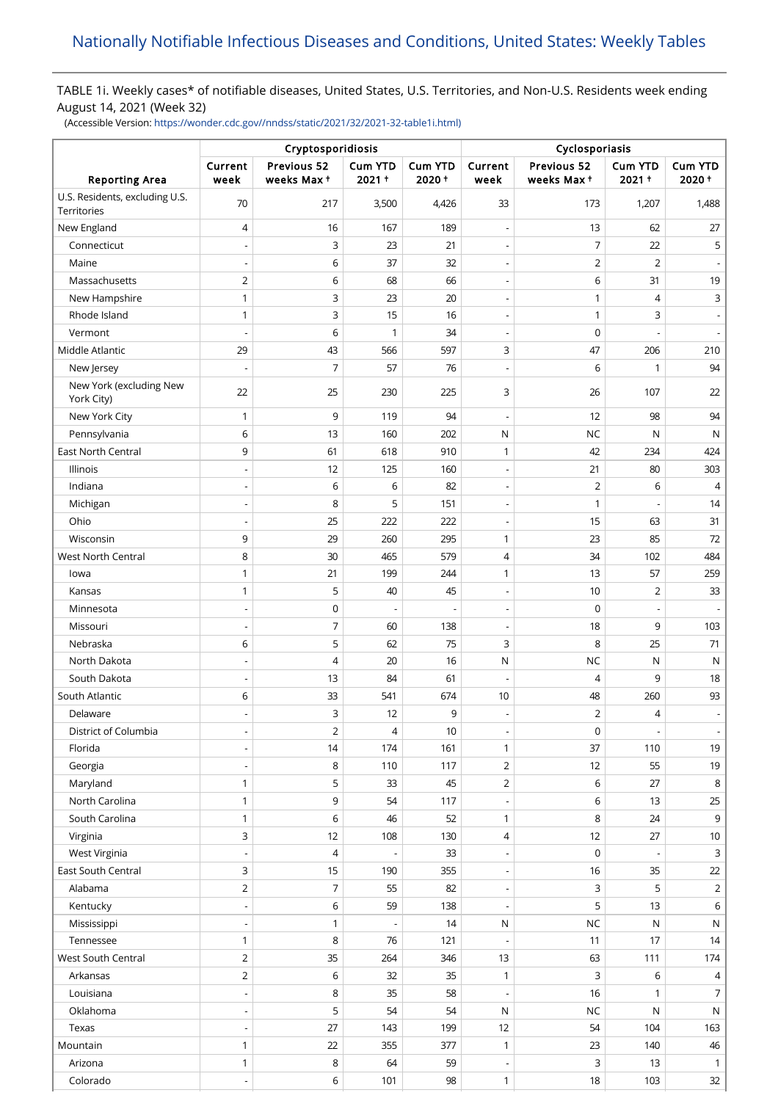## TABLE 1i. Weekly cases\* of notifiable diseases, United States, U.S. Territories, and Non-U.S. Residents week ending August 14, 2021 (Week 32)

(Accessible Version: [https://wonder.cdc.gov//nndss/static/2021/32/2021-32-table1i.html\)](https://wonder.cdc.gov//nndss/static/2021/32/2021-32-table1i.html)

|                                               | Cryptosporidiosis            |                           |                          |                  | Cyclosporiasis                             |                           |                          |                          |
|-----------------------------------------------|------------------------------|---------------------------|--------------------------|------------------|--------------------------------------------|---------------------------|--------------------------|--------------------------|
| <b>Reporting Area</b>                         | Current<br>week              | Previous 52<br>weeks Max+ | Cum YTD<br>2021+         | Cum YTD<br>2020+ | Current<br>week                            | Previous 52<br>weeks Max+ | Cum YTD<br>2021+         | <b>Cum YTD</b><br>2020+  |
| U.S. Residents, excluding U.S.<br>Territories | 70                           | 217                       | 3,500                    | 4,426            | 33                                         | 173                       | 1,207                    | 1,488                    |
| New England                                   | 4                            | 16                        | 167                      | 189              | $\overline{a}$                             | 13                        | 62                       | 27                       |
| Connecticut                                   |                              | 3                         | 23                       | 21               | $\overline{\phantom{a}}$                   | 7                         | 22                       | 5                        |
| Maine                                         | $\overline{a}$               | 6                         | 37                       | 32               | $\overline{a}$                             | $\mathbf 2$               | $\overline{2}$           |                          |
| Massachusetts                                 | $\overline{2}$               | 6                         | 68                       | 66               | $\overline{\phantom{a}}$                   | $\,$ 6                    | 31                       | 19                       |
| New Hampshire                                 | 1                            | 3                         | 23                       | 20               | $\overline{\phantom{a}}$                   | $\mathbf{1}$              | 4                        | 3                        |
| Rhode Island                                  | $\mathbf{1}$                 | 3                         | 15                       | 16               | $\overline{\phantom{a}}$                   | $\mathbf{1}$              | 3                        |                          |
| Vermont                                       | $\overline{a}$               | 6                         | 1                        | 34               | $\overline{\phantom{a}}$                   | $\mathbf 0$               |                          |                          |
| Middle Atlantic                               | 29                           | 43                        | 566                      | 597              | 3                                          | 47                        | 206                      | 210                      |
| New Jersey                                    | $\overline{a}$               | $\overline{7}$            | 57                       | 76               | $\overline{\phantom{a}}$                   | 6                         | $\mathbf{1}$             | 94                       |
| New York (excluding New<br>York City)         | 22                           | 25                        | 230                      | 225              | 3                                          | 26                        | 107                      | 22                       |
| New York City                                 | $\mathbf{1}$                 | 9                         | 119                      | 94               | $\overline{a}$                             | 12                        | 98                       | 94                       |
| Pennsylvania                                  | 6                            | 13                        | 160                      | 202              | N                                          | NC                        | N                        | N                        |
| <b>East North Central</b>                     | 9                            | 61                        | 618                      | 910              | 1                                          | 42                        | 234                      | 424                      |
| Illinois                                      | $\overline{a}$               | 12                        | 125                      | 160              | $\overline{\phantom{a}}$                   | 21                        | 80                       | 303                      |
| Indiana                                       | $\overline{a}$               | 6                         | 6                        | 82               | $\overline{\phantom{a}}$                   | $\overline{2}$            | 6                        | 4                        |
|                                               |                              | 8                         | 5                        | 151              |                                            | $\mathbf{1}$              |                          | 14                       |
| Michigan<br>Ohio                              | $\overline{a}$               | 25                        | 222                      | 222              | $\overline{\phantom{a}}$<br>$\overline{a}$ | 15                        | 63                       | 31                       |
|                                               |                              |                           |                          |                  |                                            |                           | 85                       |                          |
| Wisconsin                                     | 9                            | 29                        | 260                      | 295              | $\mathbf{1}$                               | 23                        |                          | 72                       |
| West North Central                            | 8                            | 30                        | 465                      | 579              | 4                                          | 34                        | 102                      | 484                      |
| lowa                                          | 1                            | 21                        | 199                      | 244              | $\mathbf{1}$                               | 13                        | 57                       | 259                      |
| Kansas                                        | $\mathbf{1}$                 | 5                         | 40                       | 45               | $\overline{\phantom{a}}$                   | 10                        | 2                        | 33                       |
| Minnesota                                     |                              | $\mathsf 0$               |                          |                  | $\overline{\phantom{a}}$                   | 0                         |                          |                          |
| Missouri                                      | $\overline{\phantom{0}}$     | 7                         | 60                       | 138              | $\overline{\phantom{a}}$                   | 18                        | 9                        | 103                      |
| Nebraska                                      | 6                            | 5                         | 62                       | 75               | 3                                          | 8                         | 25                       | 71                       |
| North Dakota                                  |                              | $\overline{4}$            | 20                       | 16               | N                                          | NC                        | N                        | N                        |
| South Dakota                                  | $\overline{a}$               | 13                        | 84                       | 61               | $\overline{\phantom{a}}$                   | 4                         | 9                        | 18                       |
| South Atlantic                                | 6                            | 33                        | 541                      | 674              | 10                                         | 48                        | 260                      | 93                       |
| Delaware                                      | $\overline{\phantom{0}}$     | 3                         | 12                       | 9                | $\overline{\phantom{a}}$                   | $\overline{2}$            | $\overline{4}$           |                          |
| District of Columbia                          | $\overline{\phantom{m}}$     | $\overline{2}$            | 4                        | 10               | $\overline{\phantom{a}}$                   | 0                         | $\overline{\phantom{a}}$ | $\overline{\phantom{a}}$ |
| Florida                                       | $\overline{a}$               | 14                        | 174                      | 161              | $\mathbf{1}$                               | 37                        | 110                      | 19                       |
| Georgia                                       |                              | 8                         | 110                      | 117              | $\overline{2}$                             | 12                        | 55                       | 19                       |
| Maryland                                      | $\mathbf{1}$                 | 5                         | 33                       | 45               | 2                                          | 6                         | 27                       | 8                        |
| North Carolina                                | 1                            | 9                         | 54                       | 117              |                                            | 6                         | 13                       | 25                       |
| South Carolina                                | $\mathbf{1}$                 | 6                         | 46                       | 52               | $\mathbf{1}$                               | 8                         | 24                       | 9                        |
| Virginia                                      | 3                            | 12                        | 108                      | 130              | 4                                          | 12                        | 27                       | $10\,$                   |
| West Virginia                                 | $\overline{\phantom{0}}$     | 4                         | $\overline{\phantom{a}}$ | 33               | $\overline{\phantom{a}}$                   | 0                         | $\overline{\phantom{a}}$ | 3                        |
| East South Central                            | 3                            | 15                        | 190                      | 355              | $\overline{\phantom{a}}$                   | 16                        | 35                       | 22                       |
| Alabama                                       | $\overline{2}$               | 7                         | 55                       | 82               | $\overline{\phantom{a}}$                   | 3                         | 5                        | $\overline{2}$           |
| Kentucky                                      | $\overline{a}$               | 6                         | 59                       | 138              | $\overline{\phantom{a}}$                   | 5                         | 13                       | 6                        |
| Mississippi                                   | $\overline{a}$               | $\mathbf{1}$              |                          | 14               | ${\sf N}$                                  | <b>NC</b>                 | N                        | N                        |
| Tennessee                                     | $\mathbf{1}$                 | 8                         | 76                       | 121              | $\overline{\phantom{a}}$                   | 11                        | 17                       | 14                       |
| West South Central                            | $\overline{2}$               | 35                        | 264                      | 346              | 13                                         | 63                        | 111                      | 174                      |
| Arkansas                                      | $\overline{2}$               | 6                         | 32                       | 35               | $\mathbf{1}$                               | 3                         | 6                        | 4                        |
| Louisiana                                     |                              | 8                         | 35                       | 58               | $\overline{\phantom{a}}$                   | 16                        | 1                        | 7                        |
| Oklahoma                                      | $\qquad \qquad \blacksquare$ | 5                         | 54                       | 54               | ${\sf N}$                                  | <b>NC</b>                 | N                        | N                        |
| Texas                                         |                              | 27                        | 143                      | 199              | 12                                         | 54                        | 104                      | 163                      |
| Mountain                                      | 1                            | 22                        | 355                      | 377              | $\mathbf{1}$                               | 23                        | 140                      | 46                       |
| Arizona                                       | $\mathbf{1}$                 | 8                         | 64                       | 59               | $\overline{\phantom{a}}$                   | 3                         | 13                       | $\mathbf{1}$             |
| Colorado                                      | $\overline{a}$               | 6                         | 101                      | 98               | $\mathbf{1}$                               | 18                        | 103                      | 32                       |